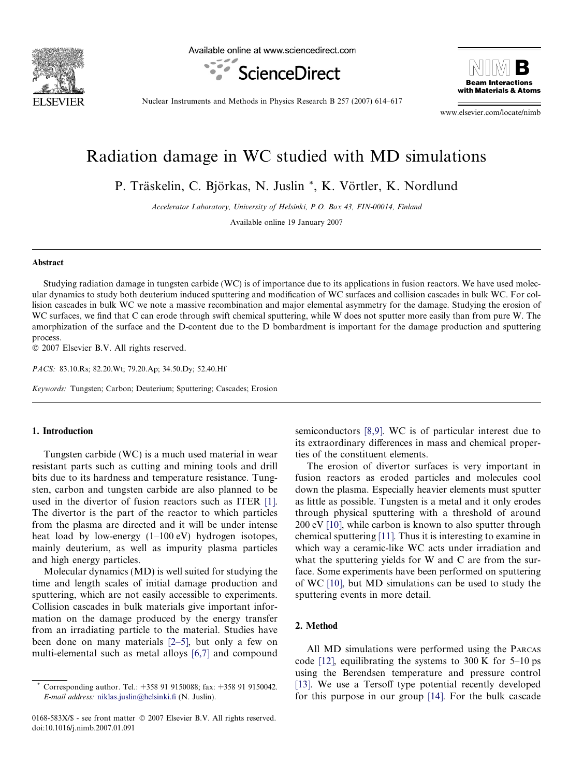

Available online at www.sciencedirect.com





Nuclear Instruments and Methods in Physics Research B 257 (2007) 614–617

www.elsevier.com/locate/nimb

# Radiation damage in WC studied with MD simulations

P. Träskelin, C. Björkas, N. Juslin \*, K. Vörtler, K. Nordlund

Accelerator Laboratory, University of Helsinki, P.O. Box 43, FIN-00014, Finland

Available online 19 January 2007

#### Abstract

Studying radiation damage in tungsten carbide (WC) is of importance due to its applications in fusion reactors. We have used molecular dynamics to study both deuterium induced sputtering and modification of WC surfaces and collision cascades in bulk WC. For collision cascades in bulk WC we note a massive recombination and major elemental asymmetry for the damage. Studying the erosion of WC surfaces, we find that C can erode through swift chemical sputtering, while W does not sputter more easily than from pure W. The amorphization of the surface and the D-content due to the D bombardment is important for the damage production and sputtering process.

© 2007 Elsevier B.V. All rights reserved.

PACS: 83.10.Rs; 82.20.Wt; 79.20.Ap; 34.50.Dy; 52.40.Hf

Keywords: Tungsten; Carbon; Deuterium; Sputtering; Cascades; Erosion

#### 1. Introduction

Tungsten carbide (WC) is a much used material in wear resistant parts such as cutting and mining tools and drill bits due to its hardness and temperature resistance. Tungsten, carbon and tungsten carbide are also planned to be used in the divertor of fusion reactors such as ITER [\[1\]](#page-3-0). The divertor is the part of the reactor to which particles from the plasma are directed and it will be under intense heat load by low-energy (1–100 eV) hydrogen isotopes, mainly deuterium, as well as impurity plasma particles and high energy particles.

Molecular dynamics (MD) is well suited for studying the time and length scales of initial damage production and sputtering, which are not easily accessible to experiments. Collision cascades in bulk materials give important information on the damage produced by the energy transfer from an irradiating particle to the material. Studies have been done on many materials [\[2–5\]](#page-3-0), but only a few on multi-elemental such as metal alloys [\[6,7\]](#page-3-0) and compound

semiconductors [\[8,9\].](#page-3-0) WC is of particular interest due to its extraordinary differences in mass and chemical properties of the constituent elements.

The erosion of divertor surfaces is very important in fusion reactors as eroded particles and molecules cool down the plasma. Especially heavier elements must sputter as little as possible. Tungsten is a metal and it only erodes through physical sputtering with a threshold of around 200 eV [\[10\]](#page-3-0), while carbon is known to also sputter through chemical sputtering [\[11\]](#page-3-0). Thus it is interesting to examine in which way a ceramic-like WC acts under irradiation and what the sputtering yields for W and C are from the surface. Some experiments have been performed on sputtering of WC [\[10\],](#page-3-0) but MD simulations can be used to study the sputtering events in more detail.

### 2. Method

All MD simulations were performed using the PARCAS code  $[12]$ , equilibrating the systems to 300 K for 5–10 ps using the Berendsen temperature and pressure control [\[13\]](#page-3-0). We use a Tersoff type potential recently developed for this purpose in our group [\[14\].](#page-3-0) For the bulk cascade

Corresponding author. Tel.: +358 91 9150088; fax: +358 91 9150042. E-mail address: [niklas.juslin@helsinki.fi](mailto:niklas.juslin@helsinki.fi) (N. Juslin).

<sup>0168-583</sup>X/\$ - see front matter © 2007 Elsevier B.V. All rights reserved. doi:10.1016/j.nimb.2007.01.091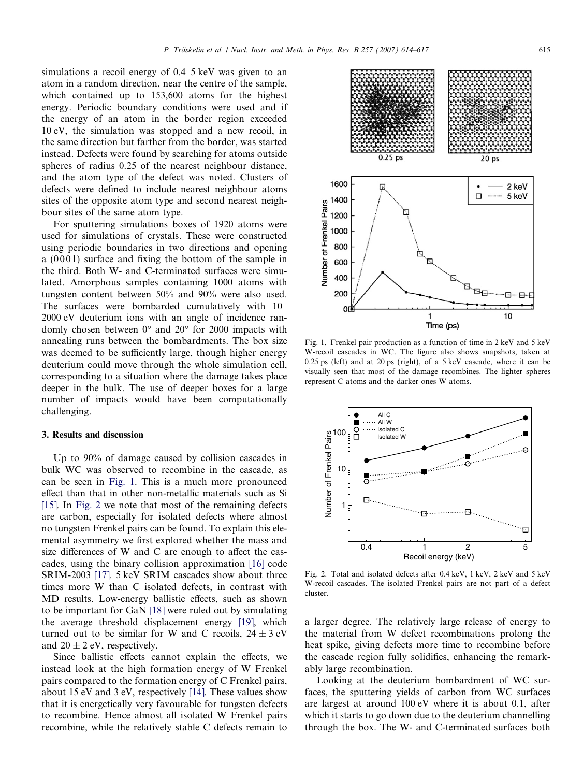simulations a recoil energy of 0.4–5 keV was given to an atom in a random direction, near the centre of the sample, which contained up to 153,600 atoms for the highest energy. Periodic boundary conditions were used and if the energy of an atom in the border region exceeded 10 eV, the simulation was stopped and a new recoil, in the same direction but farther from the border, was started instead. Defects were found by searching for atoms outside spheres of radius 0.25 of the nearest neighbour distance, and the atom type of the defect was noted. Clusters of defects were defined to include nearest neighbour atoms sites of the opposite atom type and second nearest neighbour sites of the same atom type.

For sputtering simulations boxes of 1920 atoms were used for simulations of crystals. These were constructed using periodic boundaries in two directions and opening a  $(0001)$  surface and fixing the bottom of the sample in the third. Both W- and C-terminated surfaces were simulated. Amorphous samples containing 1000 atoms with tungsten content between 50% and 90% were also used. The surfaces were bombarded cumulatively with 10– 2000 eV deuterium ions with an angle of incidence randomly chosen between  $0^{\circ}$  and  $20^{\circ}$  for 2000 impacts with annealing runs between the bombardments. The box size was deemed to be sufficiently large, though higher energy deuterium could move through the whole simulation cell, corresponding to a situation where the damage takes place deeper in the bulk. The use of deeper boxes for a large number of impacts would have been computationally challenging.

#### 3. Results and discussion

Up to 90% of damage caused by collision cascades in bulk WC was observed to recombine in the cascade, as can be seen in Fig. 1. This is a much more pronounced effect than that in other non-metallic materials such as Si [\[15\].](#page-3-0) In Fig. 2 we note that most of the remaining defects are carbon, especially for isolated defects where almost no tungsten Frenkel pairs can be found. To explain this elemental asymmetry we first explored whether the mass and size differences of W and C are enough to affect the cascades, using the binary collision approximation [\[16\]](#page-3-0) code SRIM-2003 [\[17\].](#page-3-0) 5 keV SRIM cascades show about three times more W than C isolated defects, in contrast with MD results. Low-energy ballistic effects, such as shown to be important for GaN [\[18\]](#page-3-0) were ruled out by simulating the average threshold displacement energy [\[19\]](#page-3-0), which turned out to be similar for W and C recoils,  $24 \pm 3$  eV and  $20 \pm 2$  eV, respectively.

Since ballistic effects cannot explain the effects, we instead look at the high formation energy of W Frenkel pairs compared to the formation energy of C Frenkel pairs, about 15 eV and 3 eV, respectively [\[14\].](#page-3-0) These values show that it is energetically very favourable for tungsten defects to recombine. Hence almost all isolated W Frenkel pairs recombine, while the relatively stable C defects remain to

W-recoil cascades in WC. The figure also shows snapshots, taken at 0.25 ps (left) and at 20 ps (right), of a 5 keV cascade, where it can be visually seen that most of the damage recombines. The lighter spheres represent C atoms and the darker ones W atoms.



1

10

Number of Frenkel Pairs

100

Isolated W Isolated C All W All C

. . . . . .  $\frac{0}{\Box}$ 

ិ

0.4 1 2 5 Recoil energy (keV)

a larger degree. The relatively large release of energy to the material from W defect recombinations prolong the heat spike, giving defects more time to recombine before the cascade region fully solidifies, enhancing the remarkably large recombination.

Looking at the deuterium bombardment of WC surfaces, the sputtering yields of carbon from WC surfaces are largest at around 100 eV where it is about 0.1, after which it starts to go down due to the deuterium channelling through the box. The W- and C-terminated surfaces both

Fig. 1. Frenkel pair production as a function of time in 2 keV and 5 keV



 $\mathcal{C}$ 

F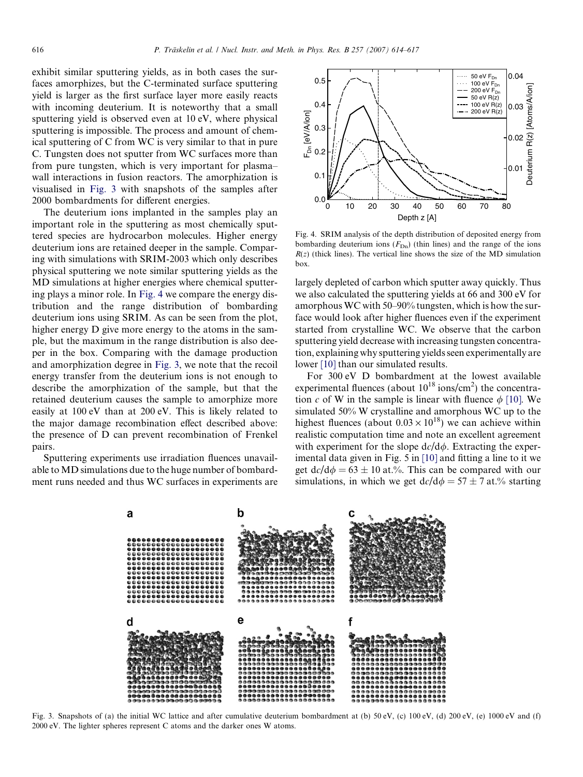exhibit similar sputtering yields, as in both cases the surfaces amorphizes, but the C-terminated surface sputtering yield is larger as the first surface layer more easily reacts with incoming deuterium. It is noteworthy that a small sputtering yield is observed even at 10 eV, where physical sputtering is impossible. The process and amount of chemical sputtering of C from WC is very similar to that in pure C. Tungsten does not sputter from WC surfaces more than from pure tungsten, which is very important for plasma– wall interactions in fusion reactors. The amorphization is visualised in Fig. 3 with snapshots of the samples after 2000 bombardments for different energies.

The deuterium ions implanted in the samples play an important role in the sputtering as most chemically sputtered species are hydrocarbon molecules. Higher energy deuterium ions are retained deeper in the sample. Comparing with simulations with SRIM-2003 which only describes physical sputtering we note similar sputtering yields as the MD simulations at higher energies where chemical sputtering plays a minor role. In Fig. 4 we compare the energy distribution and the range distribution of bombarding deuterium ions using SRIM. As can be seen from the plot, higher energy D give more energy to the atoms in the sample, but the maximum in the range distribution is also deeper in the box. Comparing with the damage production and amorphization degree in Fig. 3, we note that the recoil energy transfer from the deuterium ions is not enough to describe the amorphization of the sample, but that the retained deuterium causes the sample to amorphize more easily at 100 eV than at 200 eV. This is likely related to the major damage recombination effect described above: the presence of D can prevent recombination of Frenkel pairs.

Sputtering experiments use irradiation fluences unavailable to MD simulations due to the huge number of bombardment runs needed and thus WC surfaces in experiments are



Fig. 4. SRIM analysis of the depth distribution of deposited energy from bombarding deuterium ions  $(F_{Dn})$  (thin lines) and the range of the ions  $R(z)$  (thick lines). The vertical line shows the size of the MD simulation box.

largely depleted of carbon which sputter away quickly. Thus we also calculated the sputtering yields at 66 and 300 eV for amorphous WC with 50–90% tungsten, which is how the surface would look after higher fluences even if the experiment started from crystalline WC. We observe that the carbon sputtering yield decrease with increasing tungsten concentration, explaining why sputtering yields seen experimentally are lower [\[10\]](#page-3-0) than our simulated results.

For 300 eV D bombardment at the lowest available experimental fluences (about  $10^{18}$  ions/cm<sup>2</sup>) the concentration c of W in the sample is linear with fluence  $\phi$  [\[10\].](#page-3-0) We simulated 50% W crystalline and amorphous WC up to the highest fluences (about  $0.03 \times 10^{18}$ ) we can achieve within realistic computation time and note an excellent agreement with experiment for the slope  $dc/d\phi$ . Extracting the experimental data given in Fig. 5 in [\[10\]](#page-3-0) and fitting a line to it we get  $dc/d\phi = 63 \pm 10$  at.%. This can be compared with our simulations, in which we get  $dc/d\phi = 57 \pm 7$  at.% starting



Fig. 3. Snapshots of (a) the initial WC lattice and after cumulative deuterium bombardment at (b) 50 eV, (c) 100 eV, (d) 200 eV, (e) 1000 eV and (f) 2000 eV. The lighter spheres represent C atoms and the darker ones W atoms.